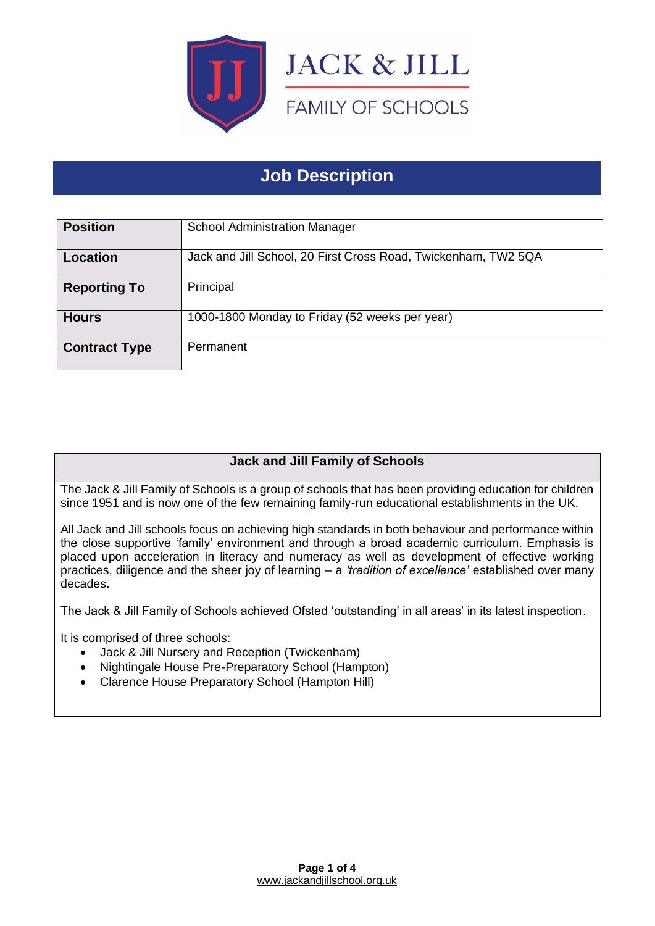

# **Job Description**

| <b>Position</b>      | <b>School Administration Manager</b>                           |
|----------------------|----------------------------------------------------------------|
| Location             | Jack and Jill School, 20 First Cross Road, Twickenham, TW2 5QA |
| <b>Reporting To</b>  | Principal                                                      |
| <b>Hours</b>         | 1000-1800 Monday to Friday (52 weeks per year)                 |
| <b>Contract Type</b> | Permanent                                                      |

## **Jack and Jill Family of Schools**

The Jack & Jill Family of Schools is a group of schools that has been providing education for children since 1951 and is now one of the few remaining family-run educational establishments in the UK.

All Jack and Jill schools focus on achieving high standards in both behaviour and performance within the close supportive 'family' environment and through a broad academic curriculum. Emphasis is placed upon acceleration in literacy and numeracy as well as development of effective working practices, diligence and the sheer joy of learning – a *'tradition of excellence'* established over many decades.

The Jack & Jill Family of Schools achieved Ofsted 'outstanding' in all areas' in its latest inspection.

It is comprised of three schools:

- Jack & Jill Nursery and Reception (Twickenham)
- Nightingale House Pre-Preparatory School (Hampton)
- Clarence House Preparatory School (Hampton Hill)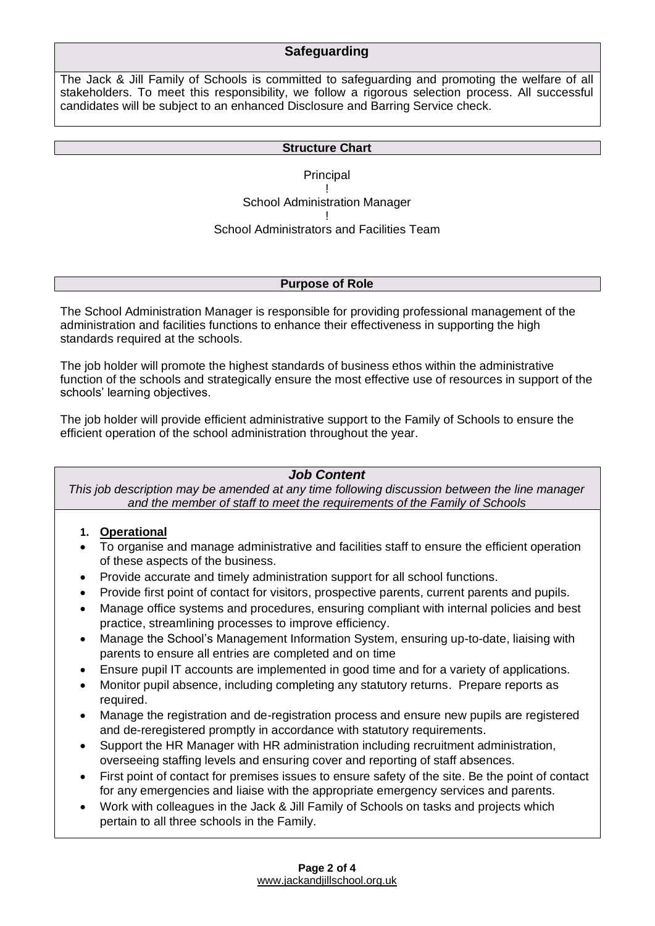#### **Safeguarding**

The Jack & Jill Family of Schools is committed to safeguarding and promoting the welfare of all stakeholders. To meet this responsibility, we follow a rigorous selection process. All successful candidates will be subject to an enhanced Disclosure and Barring Service check.

#### **Structure Chart**

**Principal** ! School Administration Manager ! School Administrators and Facilities Team

#### **Purpose of Role**

The School Administration Manager is responsible for providing professional management of the administration and facilities functions to enhance their effectiveness in supporting the high standards required at the schools.

The job holder will promote the highest standards of business ethos within the administrative function of the schools and strategically ensure the most effective use of resources in support of the schools' learning objectives.

The job holder will provide efficient administrative support to the Family of Schools to ensure the efficient operation of the school administration throughout the year.

#### *Job Content*

*This job description may be amended at any time following discussion between the line manager and the member of staff to meet the requirements of the Family of Schools*

#### **1. Operational**

- To organise and manage administrative and facilities staff to ensure the efficient operation of these aspects of the business.
- Provide accurate and timely administration support for all school functions.
- Provide first point of contact for visitors, prospective parents, current parents and pupils.
- Manage office systems and procedures, ensuring compliant with internal policies and best practice, streamlining processes to improve efficiency.
- Manage the School's Management Information System, ensuring up-to-date, liaising with parents to ensure all entries are completed and on time
- Ensure pupil IT accounts are implemented in good time and for a variety of applications.
- Monitor pupil absence, including completing any statutory returns. Prepare reports as required.
- Manage the registration and de-registration process and ensure new pupils are registered and de-reregistered promptly in accordance with statutory requirements.
- Support the HR Manager with HR administration including recruitment administration, overseeing staffing levels and ensuring cover and reporting of staff absences.
- First point of contact for premises issues to ensure safety of the site. Be the point of contact for any emergencies and liaise with the appropriate emergency services and parents.
- Work with colleagues in the Jack & Jill Family of Schools on tasks and projects which pertain to all three schools in the Family.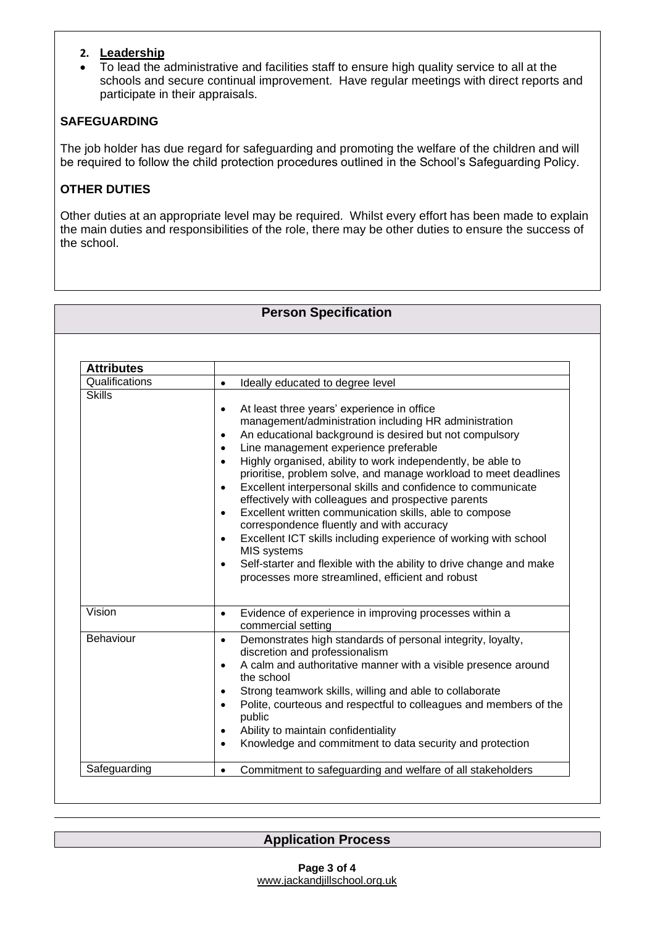#### **2. Leadership**

• To lead the administrative and facilities staff to ensure high quality service to all at the schools and secure continual improvement. Have regular meetings with direct reports and participate in their appraisals.

### **SAFEGUARDING**

The job holder has due regard for safeguarding and promoting the welfare of the children and will be required to follow the child protection procedures outlined in the School's Safeguarding Policy.

## **OTHER DUTIES**

Other duties at an appropriate level may be required. Whilst every effort has been made to explain the main duties and responsibilities of the role, there may be other duties to ensure the success of the school.

## **Person Specification**

| <b>Attributes</b> |                                                                                                                                                                                                                                                                                                                                                                                                                                                                                                                                                                                                                                                                                                                                                                                                                                                                                                 |
|-------------------|-------------------------------------------------------------------------------------------------------------------------------------------------------------------------------------------------------------------------------------------------------------------------------------------------------------------------------------------------------------------------------------------------------------------------------------------------------------------------------------------------------------------------------------------------------------------------------------------------------------------------------------------------------------------------------------------------------------------------------------------------------------------------------------------------------------------------------------------------------------------------------------------------|
| Qualifications    | Ideally educated to degree level<br>$\bullet$                                                                                                                                                                                                                                                                                                                                                                                                                                                                                                                                                                                                                                                                                                                                                                                                                                                   |
| <b>Skills</b>     | At least three years' experience in office<br>$\bullet$<br>management/administration including HR administration<br>An educational background is desired but not compulsory<br>$\bullet$<br>Line management experience preferable<br>$\bullet$<br>Highly organised, ability to work independently, be able to<br>$\bullet$<br>prioritise, problem solve, and manage workload to meet deadlines<br>Excellent interpersonal skills and confidence to communicate<br>$\bullet$<br>effectively with colleagues and prospective parents<br>Excellent written communication skills, able to compose<br>$\bullet$<br>correspondence fluently and with accuracy<br>Excellent ICT skills including experience of working with school<br>$\bullet$<br>MIS systems<br>Self-starter and flexible with the ability to drive change and make<br>$\bullet$<br>processes more streamlined, efficient and robust |
| Vision            | Evidence of experience in improving processes within a<br>$\bullet$<br>commercial setting                                                                                                                                                                                                                                                                                                                                                                                                                                                                                                                                                                                                                                                                                                                                                                                                       |
| <b>Behaviour</b>  | Demonstrates high standards of personal integrity, loyalty,<br>$\bullet$<br>discretion and professionalism<br>A calm and authoritative manner with a visible presence around<br>$\bullet$<br>the school<br>Strong teamwork skills, willing and able to collaborate<br>$\bullet$<br>Polite, courteous and respectful to colleagues and members of the<br>$\bullet$<br>public<br>Ability to maintain confidentiality<br>$\bullet$<br>Knowledge and commitment to data security and protection<br>$\bullet$                                                                                                                                                                                                                                                                                                                                                                                        |
| Safeguarding      | Commitment to safeguarding and welfare of all stakeholders<br>$\bullet$                                                                                                                                                                                                                                                                                                                                                                                                                                                                                                                                                                                                                                                                                                                                                                                                                         |

**Application Process**